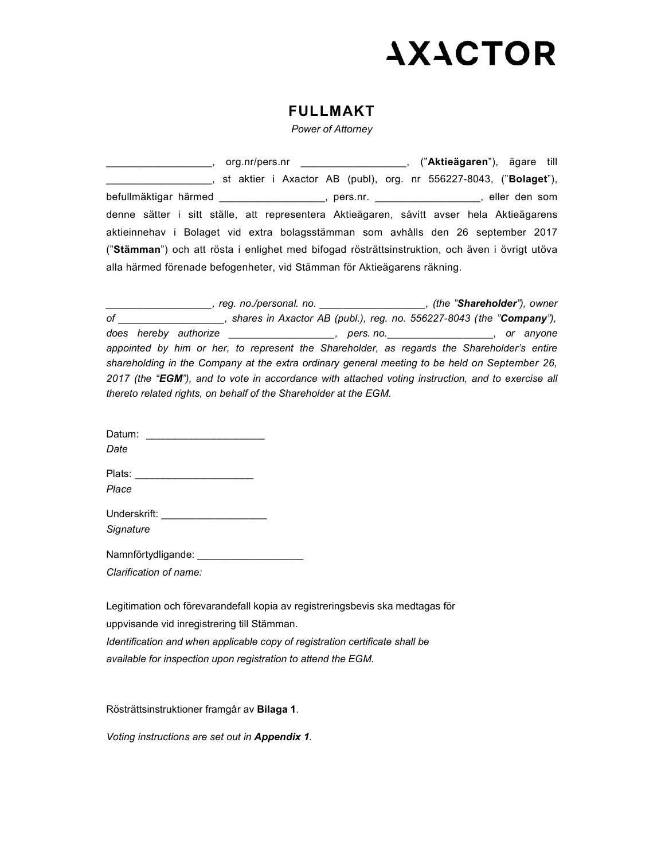## **AXACTOR**

## FULLMAKT

Power of Attorney

\_\_, org.nr/pers.nr \_\_\_\_\_\_\_\_\_\_\_\_\_\_\_\_\_\_, ("Aktieägaren"), ägare till \_\_\_\_\_\_\_, st aktier i Axactor AB (publ), org. nr 556227-8043, ("Bolaget"), befullmäktigar härmed \_\_\_\_\_\_\_\_\_\_\_\_\_\_\_\_\_\_, pers.nr. \_\_\_\_\_\_\_\_\_\_\_\_\_\_\_\_\_\_, eller den som denne sätter i sitt ställe, att representera Aktieägaren, såvitt avser hela Aktieägarens aktieinnehav i Bolaget vid extra bolagsstämman som avhålls den 26 september 2017 ("Stämman") och att rösta i enlighet med bifogad rösträttsinstruktion, och även i övrigt utöva alla härmed förenade befogenheter, vid Stämman för Aktieägarens räkning.

\_\_\_\_\_, reg. no./personal. no. \_\_\_\_\_\_\_\_\_\_\_\_\_\_\_\_\_\_\_\_\_, (the "Shareholder"), owner of \_\_\_\_\_\_\_\_\_\_\_\_\_\_\_\_\_\_, shares in Axactor AB (publ.), reg. no. 556227-8043 (the "Company"), does hereby authorize \_\_\_\_\_\_\_\_\_\_\_\_\_\_\_\_\_\_, pers.no. \_\_\_\_\_\_\_\_\_\_\_\_\_\_\_\_\_\_, or anyone appointed by him or her, to represent the Shareholder, as regards the Shareholder's entire shareholding in the Company at the extra ordinary general meeting to be held on September 26, 2017 (the "EGM"), and to vote in accordance with attached voting instruction, and to exercise all thereto related rights, on behalf of the Shareholder at the EGM.

| Datum:<br><u> 1986 - Jan Samuel Barbara, margaret e</u><br>Date |  |
|-----------------------------------------------------------------|--|
| Plats: ________________________<br>Place                        |  |
| Underskrift: ___________________<br>Signature                   |  |
| Namnförtydligande: _________________<br>Clarification of name:  |  |

Legitimation och förevarandefall kopia av registreringsbevis ska medtagas för uppvisande vid inregistrering till Stämman. Identification and when applicable copy of registration certificate shall be available for inspection upon registration to attend the EGM.

Rösträttsinstruktioner framgår av Bilaga 1.

Voting instructions are set out in Appendix 1.